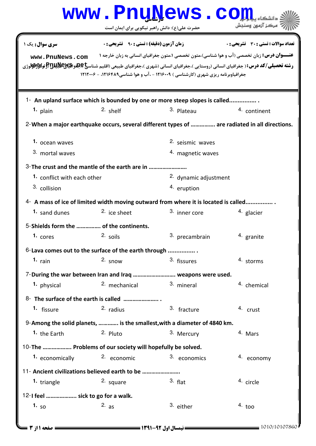|                                                                                                                                                               |                                                    | www.PnuNews.co                                                                                     |                                       |  |  |
|---------------------------------------------------------------------------------------------------------------------------------------------------------------|----------------------------------------------------|----------------------------------------------------------------------------------------------------|---------------------------------------|--|--|
|                                                                                                                                                               | حضرت علی(ع): دانش راهبر نیکویی برای ایمان است      |                                                                                                    | ۔<br>* مرڪز آزمون وسنڊش               |  |  |
| <b>سری سوال :</b> یک ۱<br>www.PnuNews.com                                                                                                                     | <b>زمان آزمون (دقیقه) : تستی : 90 ٪ تشریحی : 0</b> | <b>عنـــوان درس:</b> زبان تخصصي (آب و هوا شناسي)،متون تخصصي ۱،متون جغرافياي انساني به زبان خارجه ۱ | تعداد سوالات : تستي : 30 - تشريحي : 0 |  |  |
| <b>رشته تحصیلی/کد درس:</b> ( جغرافیای انسانی (روستایی )،جغرافیای انسانی (شهری )،جغرافیای طبیعی (اقلیم شناس <b>یخچچنواکیلانیالاتا (آژولالای (قولالای</b> لاتی) |                                                    | جغرافیاوبرنامه ریزی شهری (کارشناسی ) ۱۲۱۶۰۰۹ - ،آب و هوا شناسی ۱۲۱۶۴۸۹، - ۱۲۱۲۰۰۶                  |                                       |  |  |
| 1- An upland surface which is bounded by one or more steep slopes is called<br>$1.$ plain                                                                     | 2. shelf                                           | 3. Plateau                                                                                         | 4. continent                          |  |  |
| 2-When a major earthquake occurs, several different types of  are radiated in all directions.                                                                 |                                                    |                                                                                                    |                                       |  |  |
|                                                                                                                                                               |                                                    |                                                                                                    |                                       |  |  |
| 1. ocean waves                                                                                                                                                |                                                    | 2. seismic waves                                                                                   |                                       |  |  |
| 3. mortal waves                                                                                                                                               |                                                    | 4. magnetic waves                                                                                  |                                       |  |  |
| 3-The crust and the mantle of the earth are in<br>1. conflict with each other                                                                                 |                                                    | 2. dynamic adjustment                                                                              |                                       |  |  |
| 3. collision                                                                                                                                                  |                                                    | 4. eruption                                                                                        |                                       |  |  |
| 4- A mass of ice of limited width moving outward from where it is located is called                                                                           |                                                    |                                                                                                    |                                       |  |  |
| 1. sand dunes                                                                                                                                                 | <sup>2.</sup> ice sheet                            | 3. inner core                                                                                      | 4. glacier                            |  |  |
| 5-Shields form the  of the continents.                                                                                                                        |                                                    |                                                                                                    |                                       |  |  |
| 1. $cores$                                                                                                                                                    | 2. soils                                           | 3. precambrain                                                                                     | 4. granite                            |  |  |
| 6-Lava comes out to the surface of the earth through                                                                                                          |                                                    |                                                                                                    |                                       |  |  |
| 1. $rain$                                                                                                                                                     | $2.$ snow                                          | 3. fissures                                                                                        | 4. storms                             |  |  |
| 7-During the war between Iran and Iraq  weapons were used.                                                                                                    |                                                    |                                                                                                    |                                       |  |  |
| 1. physical                                                                                                                                                   | 2. mechanical                                      | 3. mineral                                                                                         | 4. chemical                           |  |  |
|                                                                                                                                                               |                                                    |                                                                                                    |                                       |  |  |
| <sup>1.</sup> fissure                                                                                                                                         | 2. radius                                          | 3. fracture                                                                                        | 4. crust                              |  |  |
| 9-Among the solid planets,  is the smallest, with a diameter of 4840 km.                                                                                      |                                                    |                                                                                                    |                                       |  |  |
| 1. the Earth                                                                                                                                                  | 2. Pluto                                           | 3. Mercury                                                                                         | 4. Mars                               |  |  |
| 10-The  Problems of our society will hopefully be solved.<br>1. economically                                                                                  | <sup>2.</sup> economic                             | 3. economics                                                                                       | 4. economy                            |  |  |
|                                                                                                                                                               |                                                    |                                                                                                    |                                       |  |  |
| 11- Ancient civilizations believed earth to be<br>1. triangle                                                                                                 | 2. square                                          | $3.$ flat                                                                                          | 4. circle                             |  |  |
| 12-I feel  sick to go for a walk.                                                                                                                             |                                                    |                                                                                                    |                                       |  |  |
| 1. $50$                                                                                                                                                       | 2. a s                                             | 3. either                                                                                          | $4.$ too                              |  |  |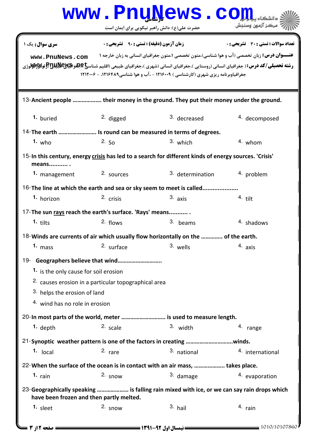|                                                                                                                                                                                                                                                                                                                                           |                                                      | www.PnuNews.co<br>حضرت علی(ع): دانش راهبر نیکویی برای ایمان است | مركز آزمون وسنجش |  |  |
|-------------------------------------------------------------------------------------------------------------------------------------------------------------------------------------------------------------------------------------------------------------------------------------------------------------------------------------------|------------------------------------------------------|-----------------------------------------------------------------|------------------|--|--|
| <b>سری سوال :</b> یک ۱<br><b>زمان آزمون (دقیقه) : تستی : ۹۰٪ تشریحی : 0</b><br><b>تعداد سوالات : تستی : 30 ٪ تشریحی : 0</b><br><b>عنـــوان درس:</b> زبان تخصصي (آب و هوا شناسي)،متون تخصصي ۱،متون جغرافياي انساني به زبان خارجه ۱<br>www.PnuNews.com<br>جغرافیاوبرنامه ریزی شهری (کارشناسی ) ۱۲۱۶۰۰۹ - ،آب و هوا شناسی ۱۲۱۶۴۸۹، - ۱۲۱۲۰۰۶ |                                                      |                                                                 |                  |  |  |
| 13-Ancient people  their money in the ground. They put their money under the ground.                                                                                                                                                                                                                                                      |                                                      |                                                                 |                  |  |  |
| 1. buried                                                                                                                                                                                                                                                                                                                                 | $2.$ digged                                          | 3. decreased                                                    | 4. decomposed    |  |  |
| 14-The earth  Is round can be measured in terms of degrees.                                                                                                                                                                                                                                                                               |                                                      |                                                                 |                  |  |  |
| $1.$ who                                                                                                                                                                                                                                                                                                                                  | 2. $50$                                              | 3. which                                                        | $4.$ whom        |  |  |
| 15-In this century, energy crisis has led to a search for different kinds of energy sources. 'Crisis'<br>means .                                                                                                                                                                                                                          |                                                      |                                                                 |                  |  |  |
| 1. management                                                                                                                                                                                                                                                                                                                             | 2. sources                                           | 3. determination                                                | 4. problem       |  |  |
| 16-The line at which the earth and sea or sky seem to meet is called                                                                                                                                                                                                                                                                      |                                                      |                                                                 |                  |  |  |
| 1. horizon                                                                                                                                                                                                                                                                                                                                | 2. crisis                                            | $3. a$ xis                                                      | $4.$ tilt        |  |  |
| 17-The sun rays reach the earth's surface. 'Rays' means                                                                                                                                                                                                                                                                                   |                                                      |                                                                 |                  |  |  |
| 1. $t$ ilts                                                                                                                                                                                                                                                                                                                               | $2.$ flows                                           | 3. beams                                                        | 4. shadows       |  |  |
| 18-Winds are currents of air which usually flow horizontally on the  of the earth.                                                                                                                                                                                                                                                        |                                                      |                                                                 |                  |  |  |
| $1.$ mass                                                                                                                                                                                                                                                                                                                                 | 2. surface                                           | 3. wells                                                        | 4. axis          |  |  |
| 19- Geographers believe that wind<br>1. is the only cause for soil erosion                                                                                                                                                                                                                                                                | 2. causes erosion in a particular topographical area |                                                                 |                  |  |  |

<sup>3.</sup> helps the erosion of land

4. wind has no role in erosion

20-In most parts of the world, meter ............................. is used to measure length. 1. depth  $2.$  scale  $3.$  width  $4.$  range 3. width

Synoptic weather pattern is one of the factors in creating ………………………….winds. 21- 1. local 2. rare 2. are 3. national 4. international <sup>3.</sup> national 22-When the surface of the ocean is in contact with an air mass, .................... takes place.

1. rain and the snow the case of the snow the snow that the snow the snow the snow the snow the snow the snow the snow the snow the snow the snow the snow the snow the snow the snow the snow the snow the snow the snow the <sup>3.</sup> damage

## 23-Geographically speaking ..................... is falling rain mixed with ice, or we can say rain drops which have been frozen and then partly melted.